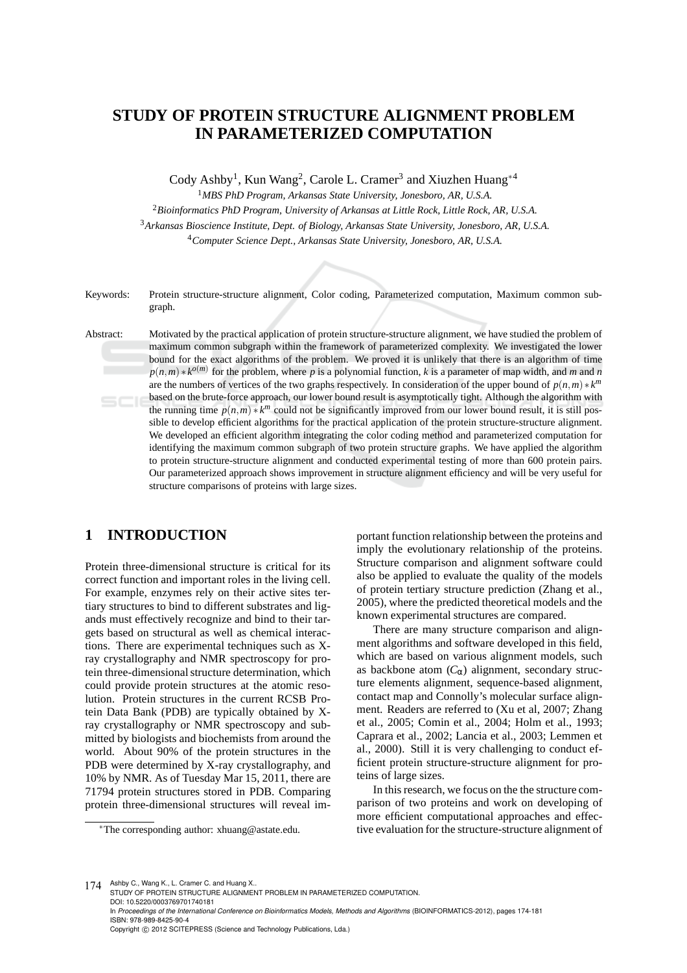# **STUDY OF PROTEIN STRUCTURE ALIGNMENT PROBLEM IN PARAMETERIZED COMPUTATION**

Cody Ashby<sup>1</sup>, Kun Wang<sup>2</sup>, Carole L. Cramer<sup>3</sup> and Xiuzhen Huang<sup>\*4</sup>

<sup>1</sup>*MBS PhD Program, Arkansas State University, Jonesboro, AR, U.S.A.*

<sup>2</sup>*Bioinformatics PhD Program, University of Arkansas at Little Rock, Little Rock, AR, U.S.A.* <sup>3</sup>*Arkansas Bioscience Institute, Dept. of Biology, Arkansas State University, Jonesboro, AR, U.S.A.* <sup>4</sup>*Computer Science Dept., Arkansas State University, Jonesboro, AR, U.S.A.*

Keywords: Protein structure-structure alignment, Color coding, Parameterized computation, Maximum common subgraph.

Abstract: Motivated by the practical application of protein structure-structure alignment, we have studied the problem of maximum common subgraph within the framework of parameterized complexity. We investigated the lower bound for the exact algorithms of the problem. We proved it is unlikely that there is an algorithm of time  $p(n,m) * k^{o(m)}$  for the problem, where *p* is a polynomial function, *k* is a parameter of map width, and *m* and *n* are the numbers of vertices of the two graphs respectively. In consideration of the upper bound of  $p(n,m) * k^m$ based on the brute-force approach, our lower bound result is asymptotically tight. Although the algorithm with the running time  $p(n,m) * k^m$  could not be significantly improved from our lower bound result, it is still possible to develop efficient algorithms for the practical application of the protein structure-structure alignment. We developed an efficient algorithm integrating the color coding method and parameterized computation for identifying the maximum common subgraph of two protein structure graphs. We have applied the algorithm to protein structure-structure alignment and conducted experimental testing of more than 600 protein pairs. Our parameterized approach shows improvement in structure alignment efficiency and will be very useful for structure comparisons of proteins with large sizes.

# **1 INTRODUCTION**

Protein three-dimensional structure is critical for its correct function and important roles in the living cell. For example, enzymes rely on their active sites tertiary structures to bind to different substrates and ligands must effectively recognize and bind to their targets based on structural as well as chemical interactions. There are experimental techniques such as Xray crystallography and NMR spectroscopy for protein three-dimensional structure determination, which could provide protein structures at the atomic resolution. Protein structures in the current RCSB Protein Data Bank (PDB) are typically obtained by Xray crystallography or NMR spectroscopy and submitted by biologists and biochemists from around the world. About 90% of the protein structures in the PDB were determined by X-ray crystallography, and 10% by NMR. As of Tuesday Mar 15, 2011, there are 71794 protein structures stored in PDB. Comparing protein three-dimensional structures will reveal im-

<sup>∗</sup>The corresponding author: xhuang@astate.edu.

portant function relationship between the proteins and imply the evolutionary relationship of the proteins. Structure comparison and alignment software could also be applied to evaluate the quality of the models of protein tertiary structure prediction (Zhang et al., 2005), where the predicted theoretical models and the known experimental structures are compared.

There are many structure comparison and alignment algorithms and software developed in this field, which are based on various alignment models, such as backbone atom  $(C_{\alpha})$  alignment, secondary structure elements alignment, sequence-based alignment, contact map and Connolly's molecular surface alignment. Readers are referred to (Xu et al, 2007; Zhang et al., 2005; Comin et al., 2004; Holm et al., 1993; Caprara et al., 2002; Lancia et al., 2003; Lemmen et al., 2000). Still it is very challenging to conduct efficient protein structure-structure alignment for proteins of large sizes.

In this research, we focus on the the structure comparison of two proteins and work on developing of more efficient computational approaches and effective evaluation for the structure-structure alignment of

174 Ashby C., Wang K., L. Cramer C. and Huang X.. STUDY OF PROTEIN STRUCTURE ALIGNMENT PROBLEM IN PARAMETERIZED COMPUTATION. DOI: 10.5220/0003769701740181 In *Proceedings of the International Conference on Bioinformatics Models, Methods and Algorithms* (BIOINFORMATICS-2012), pages 174-181 ISBN: 978-989-8425-90-4 Copyright © 2012 SCITEPRESS (Science and Technology Publications, Lda.)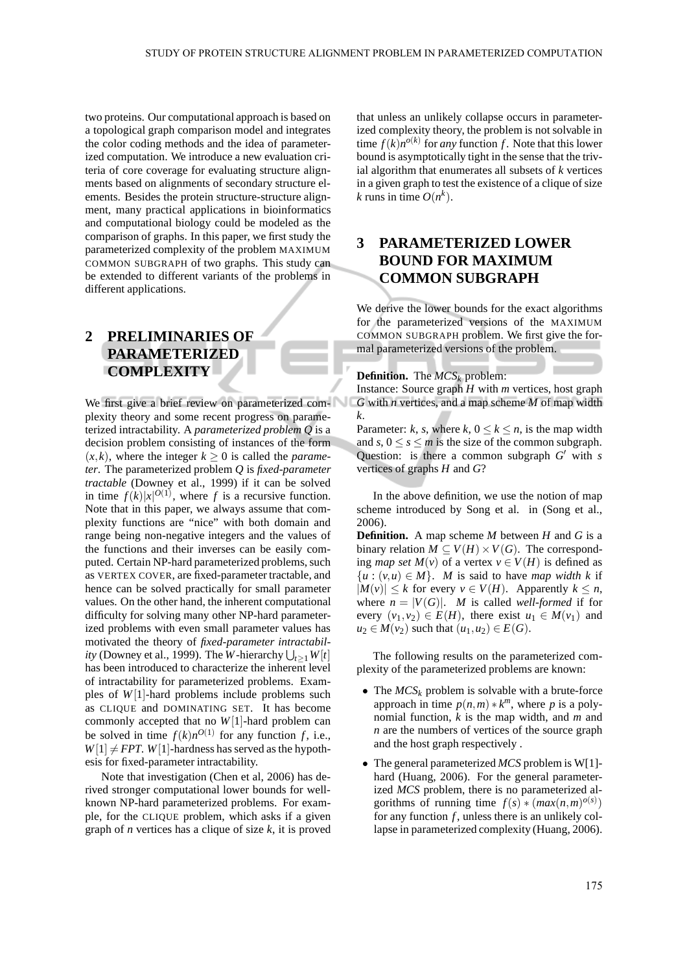two proteins. Our computational approach is based on a topological graph comparison model and integrates the color coding methods and the idea of parameterized computation. We introduce a new evaluation criteria of core coverage for evaluating structure alignments based on alignments of secondary structure elements. Besides the protein structure-structure alignment, many practical applications in bioinformatics and computational biology could be modeled as the comparison of graphs. In this paper, we first study the parameterized complexity of the problem MAXIMUM COMMON SUBGRAPH of two graphs. This study can be extended to different variants of the problems in different applications.

# **2 PRELIMINARIES OF PARAMETERIZED COMPLEXITY**

We first give a brief review on parameterized complexity theory and some recent progress on parameterized intractability. A *parameterized problem Q* is a decision problem consisting of instances of the form  $(x, k)$ , where the integer  $k \geq 0$  is called the *parameter*. The parameterized problem *Q* is *fixed-parameter tractable* (Downey et al., 1999) if it can be solved in time  $f(k)|x|^{O(1)}$ , where *f* is a recursive function. Note that in this paper, we always assume that complexity functions are "nice" with both domain and range being non-negative integers and the values of the functions and their inverses can be easily computed. Certain NP-hard parameterized problems, such as VERTEX COVER, are fixed-parameter tractable, and hence can be solved practically for small parameter values. On the other hand, the inherent computational difficulty for solving many other NP-hard parameterized problems with even small parameter values has motivated the theory of *fixed-parameter intractability* (Downey et al., 1999). The *W*-hierarchy  $\bigcup_{t\geq 1} W[t]$ has been introduced to characterize the inherent level of intractability for parameterized problems. Examples of *W*[1]-hard problems include problems such as CLIQUE and DOMINATING SET. It has become commonly accepted that no *W*[1]-hard problem can be solved in time  $f(k)n^{O(1)}$  for any function *f*, i.e.,  $W[1] \neq FPT$ . *W*[1]-hardness has served as the hypothesis for fixed-parameter intractability.

Note that investigation (Chen et al, 2006) has derived stronger computational lower bounds for wellknown NP-hard parameterized problems. For example, for the CLIQUE problem, which asks if a given graph of *n* vertices has a clique of size *k*, it is proved

that unless an unlikely collapse occurs in parameterized complexity theory, the problem is not solvable in time  $f(k)n^{o(k)}$  for *any* function *f*. Note that this lower bound is asymptotically tight in the sense that the trivial algorithm that enumerates all subsets of *k* vertices in a given graph to test the existence of a clique of size *k* runs in time  $O(n^k)$ .

### **3 PARAMETERIZED LOWER BOUND FOR MAXIMUM COMMON SUBGRAPH**

We derive the lower bounds for the exact algorithms for the parameterized versions of the MAXIMUM COMMON SUBGRAPH problem. We first give the formal parameterized versions of the problem.

### **Definition.** The *MCS<sup>k</sup>* problem:

Instance: Source graph *H* with *m* vertices, host graph *G* with *n* vertices, and a map scheme *M* of map width *k*.

Parameter: *k*, *s*, where *k*,  $0 \le k \le n$ , is the map width and  $s, 0 \le s \le m$  is the size of the common subgraph. Question: is there a common subgraph *G* ′ with *s* vertices of graphs *H* and *G*?

In the above definition, we use the notion of map scheme introduced by Song et al. in (Song et al., 2006).

**Definition.** A map scheme *M* between *H* and *G* is a binary relation  $M \subseteq V(H) \times V(G)$ . The corresponding *map set*  $M(v)$  of a vertex  $v \in V(H)$  is defined as  ${u : (v, u) \in M}$ . *M* is said to have *map width k* if |*M*(*v*)| ≤ *k* for every *v* ∈ *V*(*H*). Apparently *k* ≤ *n*, where  $n = |V(G)|$ . *M* is called *well-formed* if for every  $(v_1, v_2) \in E(H)$ , there exist  $u_1 \in M(v_1)$  and *u*<sub>2</sub> ∈ *M*(*v*<sub>2</sub>) such that  $(u_1, u_2)$  ∈ *E*(*G*).

The following results on the parameterized complexity of the parameterized problems are known:

- The  $MCS_k$  problem is solvable with a brute-force approach in time  $p(n,m) * k^m$ , where p is a polynomial function, *k* is the map width, and *m* and *n* are the numbers of vertices of the source graph and the host graph respectively .
- The general parameterized *MCS* problem is W[1] hard (Huang, 2006). For the general parameterized *MCS* problem, there is no parameterized algorithms of running time  $f(s) * (max(n,m)^{o(s)})$ for any function *f*, unless there is an unlikely collapse in parameterized complexity (Huang, 2006).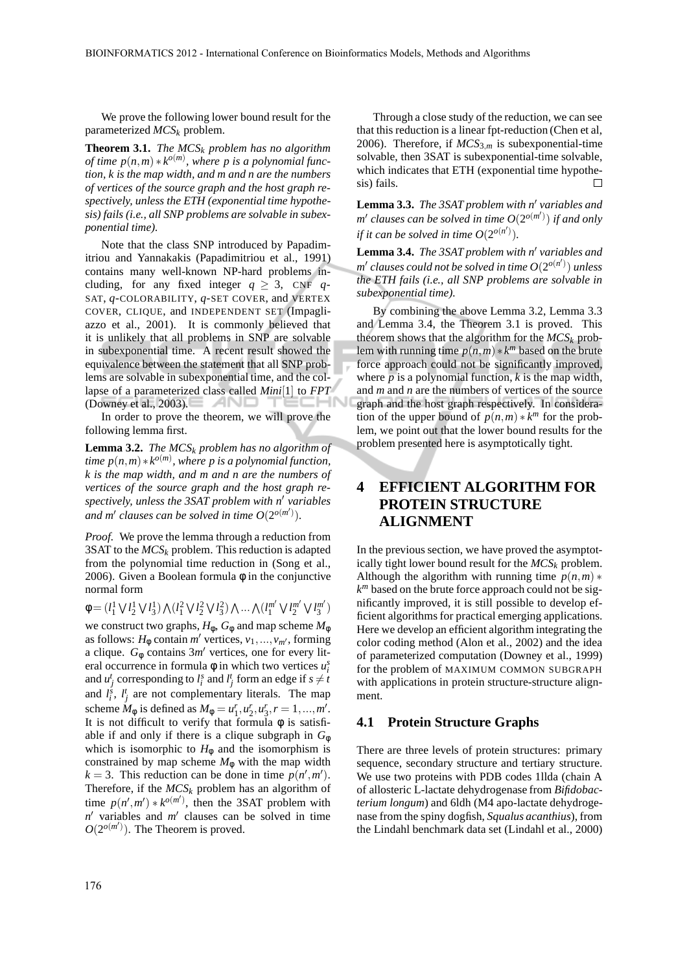We prove the following lower bound result for the parameterized *MCS<sup>k</sup>* problem.

**Theorem 3.1.** *The MCS<sup>k</sup> problem has no algorithm*  $\phi$ *(ime p*(*n*,*m*)  $* k^{o(m)}$ , where *p* is a polynomial func*tion, k is the map width, and m and n are the numbers of vertices of the source graph and the host graph respectively, unless the ETH (exponential time hypothesis) fails (i.e., all SNP problems are solvable in subexponential time).*

Note that the class SNP introduced by Papadimitriou and Yannakakis (Papadimitriou et al., 1991) contains many well-known NP-hard problems including, for any fixed integer  $q \geq 3$ , CNF *q*-SAT, *q*-COLORABILITY, *q*-SET COVER, and VERTEX COVER, CLIQUE, and INDEPENDENT SET (Impagliazzo et al., 2001). It is commonly believed that it is unlikely that all problems in SNP are solvable in subexponential time. A recent result showed the equivalence between the statement that all SNP problems are solvable in subexponential time, and the collapse of a parameterized class called *Mini*[1] to *FPT* (Downey et al., 2003).

In order to prove the theorem, we will prove the following lemma first.

**Lemma 3.2.** *The MCS<sup>k</sup> problem has no algorithm of*  $time p(n,m) * k^{o(m)}$ , where p is a polynomial function, *k is the map width, and m and n are the numbers of vertices of the source graph and the host graph respectively, unless the 3SAT problem with n*′ *variables* and m' clauses can be solved in time  $O(2^{o(m')})$ .

*Proof.* We prove the lemma through a reduction from 3SAT to the  $MCS_k$  problem. This reduction is adapted from the polynomial time reduction in (Song et al., 2006). Given a Boolean formula  $\phi$  in the conjunctive normal form

 $\phi = (l_1^1 \vee l_2^1 \vee l_3^1) \wedge (l_1^2 \vee l_2^2 \vee l_3^2) \wedge ... \wedge (l_1^{m'}$ 1 W *l m* ′ 2 W *l m* ′  $\binom{m'}{3}$ 

we construct two graphs,  $H_{\phi}$ ,  $G_{\phi}$  and map scheme  $M_{\phi}$ as follows:  $H_{\phi}$  contain *m'* vertices,  $v_1, ..., v_{m'}$ , forming a clique.  $G_{\phi}$  contains  $3m'$  vertices, one for every literal occurrence in formula  $\phi$  in which two vertices  $u_i^s$ and  $u_j^t$  corresponding to  $l_i^s$  and  $l_j^t$  form an edge if  $s \neq t$ and  $l_i^s$ ,  $l_j^t$  are not complementary literals. The map scheme  $M_{\phi}$  is defined as  $M_{\phi} = u_1^r, u_2^r, u_3^r, r = 1, ..., m'$ . It is not difficult to verify that formula  $\phi$  is satisfiable if and only if there is a clique subgraph in  $G_{\phi}$ which is isomorphic to  $H_{\phi}$  and the isomorphism is constrained by map scheme  $M_{\phi}$  with the map width  $k = 3$ . This reduction can be done in time  $p(n', m')$ . Therefore, if the  $MCS_k$  problem has an algorithm of time  $p(n', m') * k^{o(m')}$ , then the 3SAT problem with *n* ′ variables and *m* ′ clauses can be solved in time  $O(2^{o(m')})$ . The Theorem is proved.

Through a close study of the reduction, we can see that this reduction is a linear fpt-reduction (Chen et al, 2006). Therefore, if  $MCS_{3,m}$  is subexponential-time solvable, then 3SAT is subexponential-time solvable, which indicates that ETH (exponential time hypothesis) fails.  $\Box$ 

**Lemma 3.3.** *The 3SAT problem with n*′ *variables and m* ′ *clauses can be solved in time O*(2 *o*(*m*′ ) ) *if and only if it can be solved in time*  $O(2^{o(n')})$ .

**Lemma 3.4.** *The 3SAT problem with n*′ *variables and m* ′ *clauses could not be solved in time O*(2 *o*(*n* ′ ) ) *unless the ETH fails (i.e., all SNP problems are solvable in subexponential time).*

By combining the above Lemma 3.2, Lemma 3.3 and Lemma 3.4, the Theorem 3.1 is proved. This theorem shows that the algorithm for the  $MCS_k$  problem with running time  $p(n,m) * k^m$  based on the brute force approach could not be significantly improved, where  $p$  is a polynomial function,  $k$  is the map width, and *m* and *n* are the numbers of vertices of the source graph and the host graph respectively. In consideration of the upper bound of  $p(n,m) * k^m$  for the problem, we point out that the lower bound results for the problem presented here is asymptotically tight.

# **4 EFFICIENT ALGORITHM FOR PROTEIN STRUCTURE ALIGNMENT**

In the previous section, we have proved the asymptotically tight lower bound result for the  $MCS_k$  problem. Although the algorithm with running time  $p(n,m)$  \* *k <sup>m</sup>* based on the brute force approach could not be significantly improved, it is still possible to develop efficient algorithms for practical emerging applications. Here we develop an efficient algorithm integrating the color coding method (Alon et al., 2002) and the idea of parameterized computation (Downey et al., 1999) for the problem of MAXIMUM COMMON SUBGRAPH with applications in protein structure-structure alignment.

#### **4.1 Protein Structure Graphs**

There are three levels of protein structures: primary sequence, secondary structure and tertiary structure. We use two proteins with PDB codes 1llda (chain A of allosteric L-lactate dehydrogenase from *Bifidobacterium longum*) and 6ldh (M4 apo-lactate dehydrogenase from the spiny dogfish, *Squalus acanthius*), from the Lindahl benchmark data set (Lindahl et al., 2000)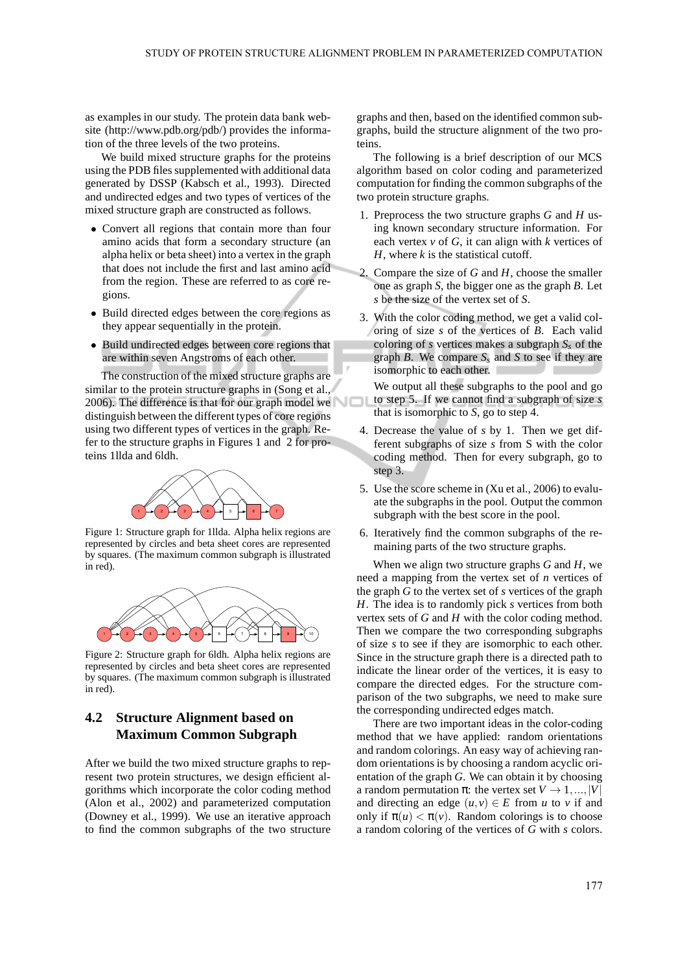as examples in our study. The protein data bank website (http://www.pdb.org/pdb/) provides the information of the three levels of the two proteins.

We build mixed structure graphs for the proteins using the PDB files supplemented with additional data generated by DSSP (Kabsch et al., 1993). Directed and undirected edges and two types of vertices of the mixed structure graph are constructed as follows.

- Convert all regions that contain more than four amino acids that form a secondary structure (an alpha helix or beta sheet) into a vertex in the graph that does not include the first and last amino acid from the region. These are referred to as core regions.
- Build directed edges between the core regions as they appear sequentially in the protein.
- Build undirected edges between core regions that are within seven Angstroms of each other.

The construction of the mixed structure graphs are similar to the protein structure graphs in (Song et al., 2006). The difference is that for our graph model we distinguish between the different types of core regions using two different types of vertices in the graph. Refer to the structure graphs in Figures 1 and 2 for proteins 1llda and 6ldh.



Figure 1: Structure graph for 1llda. Alpha helix regions are represented by circles and beta sheet cores are represented by squares. (The maximum common subgraph is illustrated in red).



Figure 2: Structure graph for 6ldh. Alpha helix regions are represented by circles and beta sheet cores are represented by squares. (The maximum common subgraph is illustrated in red).

### **4.2 Structure Alignment based on Maximum Common Subgraph**

After we build the two mixed structure graphs to represent two protein structures, we design efficient algorithms which incorporate the color coding method (Alon et al., 2002) and parameterized computation (Downey et al., 1999). We use an iterative approach to find the common subgraphs of the two structure graphs and then, based on the identified common subgraphs, build the structure alignment of the two proteins.

The following is a brief description of our MCS algorithm based on color coding and parameterized computation for finding the common subgraphs of the two protein structure graphs.

- 1. Preprocess the two structure graphs *G* and *H* using known secondary structure information. For each vertex  $\nu$  of  $G$ , it can align with  $k$  vertices of *H*, where *k* is the statistical cutoff.
- 2. Compare the size of *G* and *H*, choose the smaller one as graph *S*, the bigger one as the graph *B*. Let *s* be the size of the vertex set of *S*.
- 3. With the color coding method, we get a valid coloring of size *s* of the vertices of *B*. Each valid coloring of *s* vertices makes a subgraph *S<sup>s</sup>* of the graph *B*. We compare  $S_s$  and *S* to see if they are isomorphic to each other.
- We output all these subgraphs to the pool and go to step 5. If we cannot find a subgraph of size *s* that is isomorphic to *S*, go to step 4.
- 4. Decrease the value of *s* by 1. Then we get different subgraphs of size *s* from S with the color coding method. Then for every subgraph, go to step 3.
- 5. Use the score scheme in (Xu et al., 2006) to evaluate the subgraphs in the pool. Output the common subgraph with the best score in the pool.
- 6. Iteratively find the common subgraphs of the remaining parts of the two structure graphs.

When we align two structure graphs *G* and *H*, we need a mapping from the vertex set of *n* vertices of the graph *G* to the vertex set of *s* vertices of the graph *H*. The idea is to randomly pick *s* vertices from both vertex sets of *G* and *H* with the color coding method. Then we compare the two corresponding subgraphs of size *s* to see if they are isomorphic to each other. Since in the structure graph there is a directed path to indicate the linear order of the vertices, it is easy to compare the directed edges. For the structure comparison of the two subgraphs, we need to make sure the corresponding undirected edges match.

There are two important ideas in the color-coding method that we have applied: random orientations and random colorings. An easy way of achieving random orientations is by choosing a random acyclic orientation of the graph *G*. We can obtain it by choosing a random permutation  $\pi$ : the vertex set  $V \rightarrow 1,..., |V|$ and directing an edge  $(u, v) \in E$  from *u* to *v* if and only if  $\pi(u) < \pi(v)$ . Random colorings is to choose a random coloring of the vertices of *G* with *s* colors.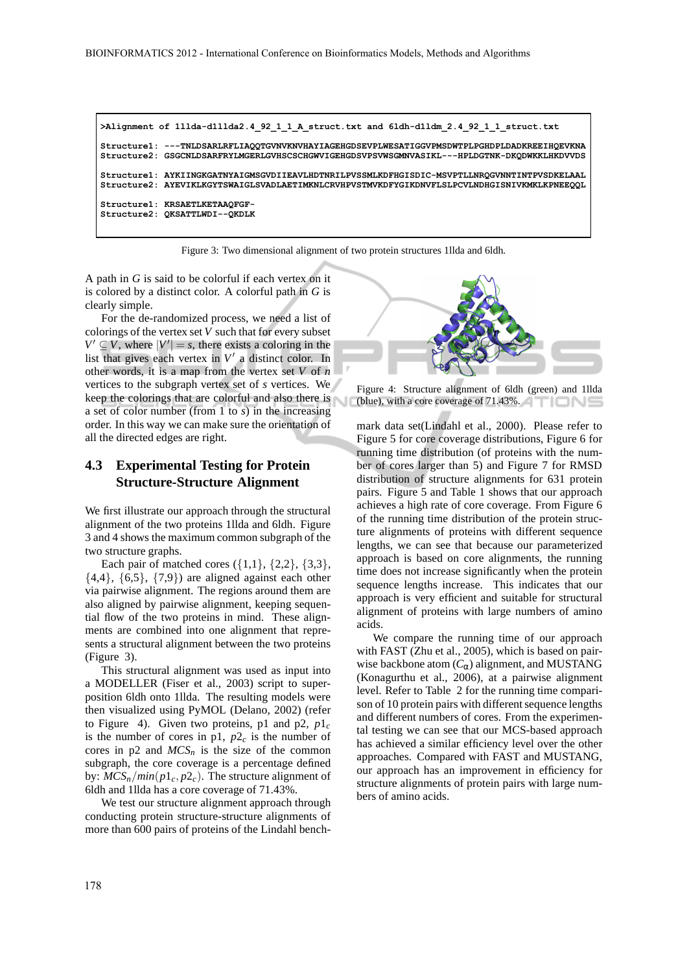```
>Alignment of 1llda-d1llda2.4_92_1_1_A_struct.txt and 6ldh-d1ldm_2.4_92_1_1_struct.txt
Structure1: ---TNLDSARLRFLIAQQTGVNVKNVHAYIAGEHGDSEVPLWESATIGGVPMSDWTPLPGHDPLDADKREEIHQEVKNA
Structure2: GSGCNLDSARFRYLMGERLGVHSCSCHGWVIGEHGDSVPSVWSGMNVASIKL---HPLDGTNK-DKQDWKKLHKDVVDS
Structure1: AYKIINGKGATNYAIGMSGVDIIEAVLHDTNRILPVSSMLKDFHGISDIC-MSVPTLLNRQGVNNTINTPVSDKELAAL
Structure2: AYEVIKLKGYTSWAIGLSVADLAETIMKNLCRVHPVSTMVKDFYGIKDNVFLSLPCVLNDHGISNIVKMKLKPNEEQQL
Structure1: KRSAETLKETAAQFGF-
Structure2: QKSATTLWDI--QKDLK
```
Figure 3: Two dimensional alignment of two protein structures 1llda and 6ldh.

A path in *G* is said to be colorful if each vertex on it is colored by a distinct color. A colorful path in *G* is clearly simple.

For the de-randomized process, we need a list of colorings of the vertex set *V* such that for every subset  $V' \subseteq V$ , where  $|V'| = s$ , there exists a coloring in the list that gives each vertex in  $V'$  a distinct color. In other words, it is a map from the vertex set *V* of *n* vertices to the subgraph vertex set of *s* vertices. We keep the colorings that are colorful and also there is a set of color number (from 1 to *s*) in the increasing order. In this way we can make sure the orientation of all the directed edges are right.

### **4.3 Experimental Testing for Protein Structure-Structure Alignment**

We first illustrate our approach through the structural alignment of the two proteins 1llda and 6ldh. Figure 3 and 4 shows the maximum common subgraph of the two structure graphs.

Each pair of matched cores  $({1,1}, {2,2}, {3,3})$ ,  $\{4,4\}, \{6,5\}, \{7,9\}$  are aligned against each other via pairwise alignment. The regions around them are also aligned by pairwise alignment, keeping sequential flow of the two proteins in mind. These alignments are combined into one alignment that represents a structural alignment between the two proteins (Figure 3).

This structural alignment was used as input into a MODELLER (Fiser et al., 2003) script to superposition 6ldh onto 1llda. The resulting models were then visualized using PyMOL (Delano, 2002) (refer to Figure 4). Given two proteins, p1 and p2,  $p1_c$ is the number of cores in p1,  $p2<sub>c</sub>$  is the number of cores in  $p2$  and  $MCS_n$  is the size of the common subgraph, the core coverage is a percentage defined by:  $MCS_n/min(p1_c, p2_c)$ . The structure alignment of 6ldh and 1llda has a core coverage of 71.43%.

We test our structure alignment approach through conducting protein structure-structure alignments of more than 600 pairs of proteins of the Lindahl bench-



Figure 4: Structure alignment of 6ldh (green) and 1llda (blue), with a core coverage of 71.43%.

mark data set(Lindahl et al., 2000). Please refer to Figure 5 for core coverage distributions, Figure 6 for running time distribution (of proteins with the number of cores larger than 5) and Figure 7 for RMSD distribution of structure alignments for 631 protein pairs. Figure 5 and Table 1 shows that our approach achieves a high rate of core coverage. From Figure 6 of the running time distribution of the protein structure alignments of proteins with different sequence lengths, we can see that because our parameterized approach is based on core alignments, the running time does not increase significantly when the protein sequence lengths increase. This indicates that our approach is very efficient and suitable for structural alignment of proteins with large numbers of amino acids.

We compare the running time of our approach with FAST (Zhu et al., 2005), which is based on pairwise backbone atom  $(C_{\alpha})$  alignment, and MUSTANG (Konagurthu et al., 2006), at a pairwise alignment level. Refer to Table 2 for the running time comparison of 10 protein pairs with different sequence lengths and different numbers of cores. From the experimental testing we can see that our MCS-based approach has achieved a similar efficiency level over the other approaches. Compared with FAST and MUSTANG, our approach has an improvement in efficiency for structure alignments of protein pairs with large numbers of amino acids.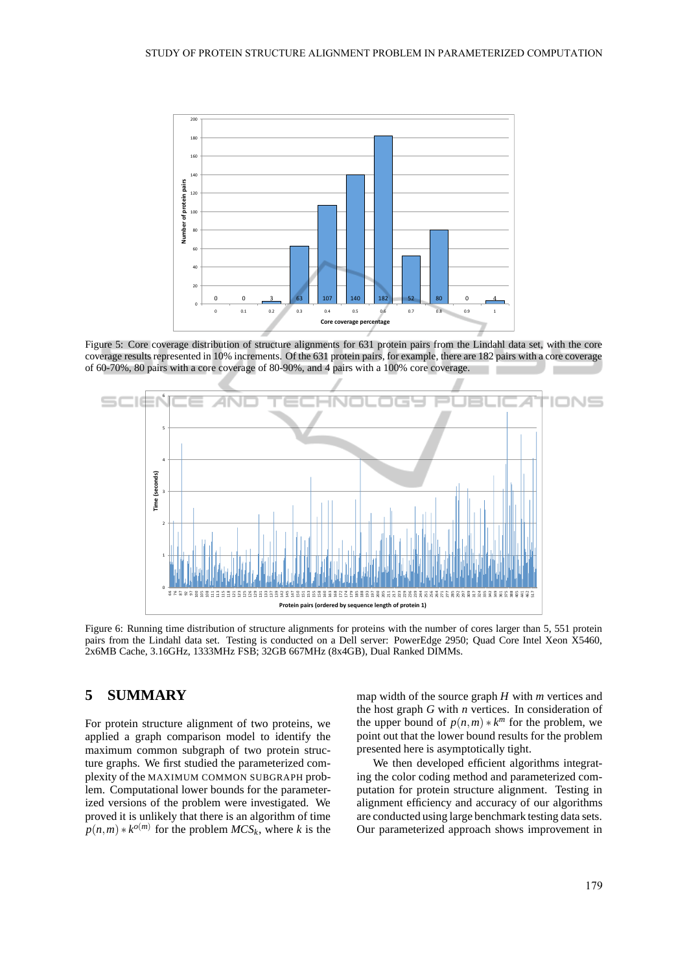

Figure 5: Core coverage distribution of structure alignments for 631 protein pairs from the Lindahl data set, with the core coverage results represented in 10% increments. Of the 631 protein pairs, for example, there are 182 pairs with a core coverage of 60-70%, 80 pairs with a core coverage of 80-90%, and 4 pairs with a 100% core coverage.



Figure 6: Running time distribution of structure alignments for proteins with the number of cores larger than 5, 551 protein pairs from the Lindahl data set. Testing is conducted on a Dell server: PowerEdge 2950; Quad Core Intel Xeon X5460, 2x6MB Cache, 3.16GHz, 1333MHz FSB; 32GB 667MHz (8x4GB), Dual Ranked DIMMs.

#### **SUMMARY** 5

For protein structure alignment of two proteins, we applied a graph comparison model to identify the maximum common subgraph of two protein structure graphs. We first studied the parameterized complexity of the MAXIMUM COMMON SUBGRAPH problem. Computational lower bounds for the parameterized versions of the problem were investigated. We proved it is unlikely that there is an algorithm of time  $p(n,m) * k^{o(m)}$  for the problem  $MCS_k$ , where k is the map width of the source graph  $H$  with  $m$  vertices and the host graph  $G$  with  $n$  vertices. In consideration of the upper bound of  $p(n,m) * k^m$  for the problem, we point out that the lower bound results for the problem presented here is asymptotically tight.

We then developed efficient algorithms integrating the color coding method and parameterized computation for protein structure alignment. Testing in alignment efficiency and accuracy of our algorithms are conducted using large benchmark testing data sets. Our parameterized approach shows improvement in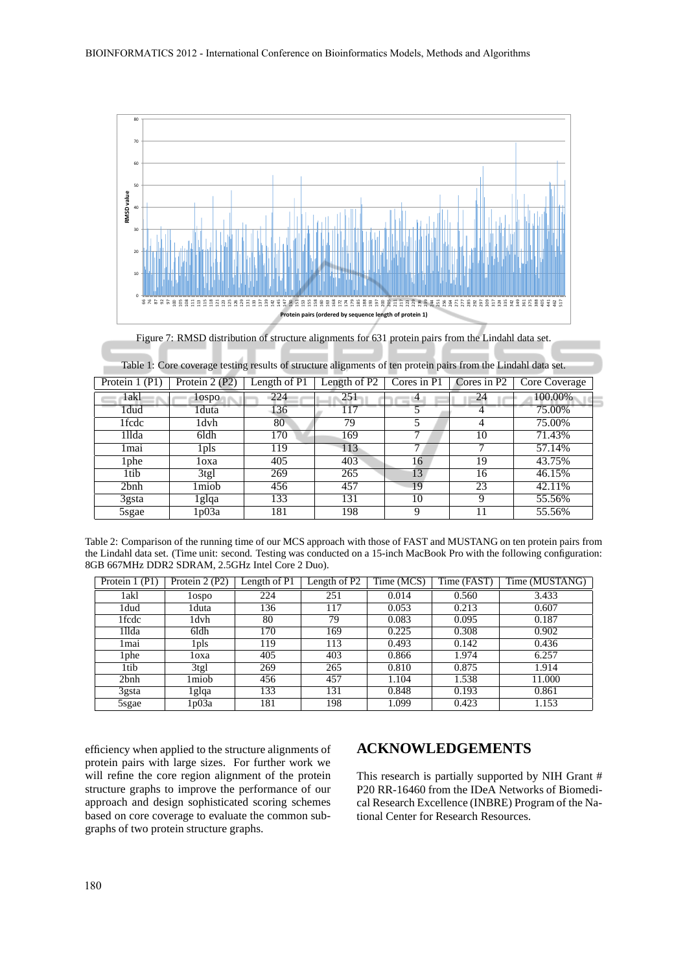

Figure 7: RMSD distribution of structure alignments for 631 protein pairs from the Lindahl data set.

| Protein $1$ (P1) | Protein $2(PZ)$ | Length of P <sub>1</sub> | Length of $PZ$ | Cores in P1 | Cores in $P2$ | Core Coverage |
|------------------|-----------------|--------------------------|----------------|-------------|---------------|---------------|
| 1akl             | lospo           | 224                      | 251            | 4           | 24            | 100.00%       |
| 1dud             | 1duta           | 136                      | 117            |             |               | 75.00%        |
| 1fcdc            | 1dvh            | 80                       | 79             |             |               | 75.00%        |
| 1llda            | 6ldh            | 170                      | 169            |             | 10            | 71.43%        |
| 1mai             | 1 pls           | 119                      | 113            |             |               | 57.14%        |
| l phe            | loxa            | 405                      | 403            | 16          | 19            | 43.75%        |
| 1tib             | 3tgl            | 269                      | 265            | 13          | 16            | 46.15%        |
| 2bnh             | 1miob           | 456                      | 457            | 19          | 23            | 42.11%        |
| 3gsta            | 1glqa           | 133                      | 131            | 10          |               | 55.56%        |
| 5sgae            | 1 p03a          | 181                      | 198            |             |               | 55.56%        |

|  | Table 1: Core coverage testing results of structure alignments of ten protein pairs from the Lindahl data set. |  |
|--|----------------------------------------------------------------------------------------------------------------|--|
|  |                                                                                                                |  |

| Table 2: Comparison of the running time of our MCS approach with those of FAST and MUSTANG on ten protein pairs from       |
|----------------------------------------------------------------------------------------------------------------------------|
| the Lindahl data set. (Time unit: second. Testing was conducted on a 15-inch MacBook Pro with the following configuration: |
| 8GB 667MHz DDR2 SDRAM, 2.5GHz Intel Core 2 Duo).                                                                           |

| Protein 1 (P1)   | Protein 2 (P2) | Length of P1 | ength of P2 | Time (MCS) | Time (FAST) | Time (MUSTANG) |
|------------------|----------------|--------------|-------------|------------|-------------|----------------|
| 1akl             | lospo          | 224          | 251         | 0.014      | 0.560       | 3.433          |
| 1dud             | 1duta          | 136          | 117         | 0.053      | 0.213       | 0.607          |
| 1fcdc            | 1dvh           | 80           | 79          | 0.083      | 0.095       | 0.187          |
| 1llda            | 6ldh           | 170          | 169         | 0.225      | 0.308       | 0.902          |
| 1 mai            | 1 pls          | 119          | 113         | 0.493      | 0.142       | 0.436          |
| l phe            | loxa           | 405          | 403         | 0.866      | 1.974       | 6.257          |
| 1tib             | 3tgl           | 269          | 265         | 0.810      | 0.875       | 1.914          |
| 2b <sub>nh</sub> | l miob         | 456          | 457         | 1.104      | 1.538       | 11.000         |
| $3$ gsta         | lglqa          | 133          | 131         | 0.848      | 0.193       | 0.861          |
| 5sgae            | l p03a         | 181          | 198         | 1.099      | 0.423       | 1.153          |

efficiency when applied to the structure alignments of protein pairs with large sizes. For further work we will refine the core region alignment of the protein structure graphs to improve the performance of our approach and design sophisticated scoring schemes based on core coverage to evaluate the common subgraphs of two protein structure graphs.

### **ACKNOWLEDGEMENTS**

This research is partially supported by NIH Grant # P20 RR-16460 from the IDeA Networks of Biomedical Research Excellence (INBRE) Program of the National Center for Research Resources.